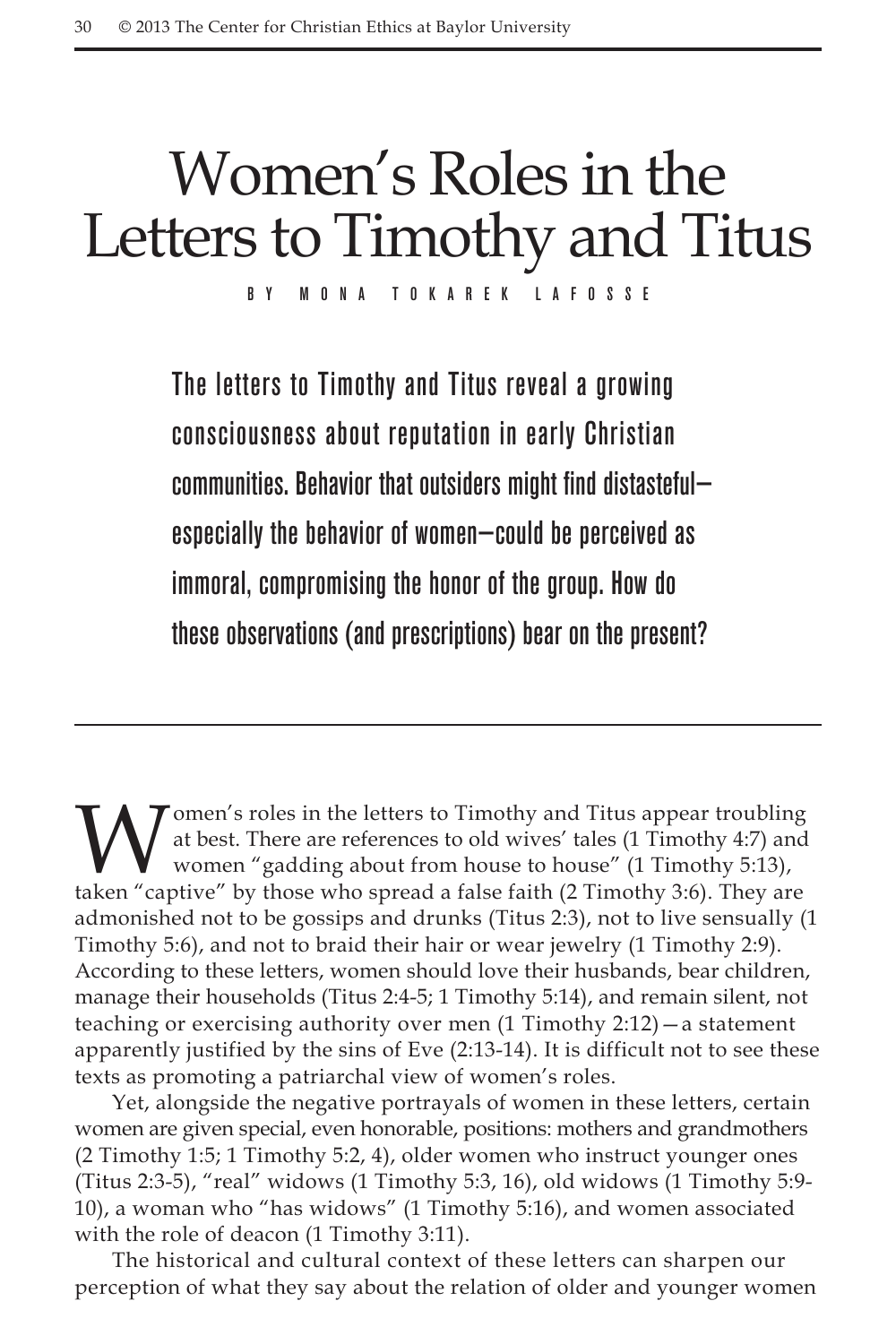# Women's Roles in the Letters to Timothy and Titus

By Mona Tokarek LaFosse

The letters to Timothy and Titus reveal a growing consciousness about reputation in early Christian communities. Behavior that outsiders might find distasteful especially the behavior of women—could be perceived as immoral, compromising the honor of the group. How do these observations (and prescriptions) bear on the present?

Women's roles in the letters to Timothy and Titus appear troubling<br>at best. There are references to old wives' tales (1 Timothy 4:7) and<br>women "gadding about from house to house" (1 Timothy 3:6).<br>taken "captive" by those w at best. There are references to old wives' tales (1 Timothy 4:7) and women "gadding about from house to house" (1 Timothy 5:13), taken "captive" by those who spread a false faith (2 Timothy 3:6). They are admonished not to be gossips and drunks (Titus 2:3), not to live sensually (1 Timothy 5:6), and not to braid their hair or wear jewelry (1 Timothy 2:9). According to these letters, women should love their husbands, bear children, manage their households (Titus 2:4-5; 1 Timothy 5:14), and remain silent, not teaching or exercising authority over men (1 Timothy 2:12)—a statement apparently justified by the sins of Eve (2:13-14). It is difficult not to see these texts as promoting a patriarchal view of women's roles.

Yet, alongside the negative portrayals of women in these letters, certain women are given special, even honorable, positions: mothers and grandmothers (2 Timothy 1:5; 1 Timothy 5:2, 4), older women who instruct younger ones (Titus 2:3-5), "real" widows (1 Timothy 5:3, 16), old widows (1 Timothy 5:9-10), a woman who "has widows" (1 Timothy 5:16), and women associated with the role of deacon (1 Timothy 3:11).

The historical and cultural context of these letters can sharpen our perception of what they say about the relation of older and younger women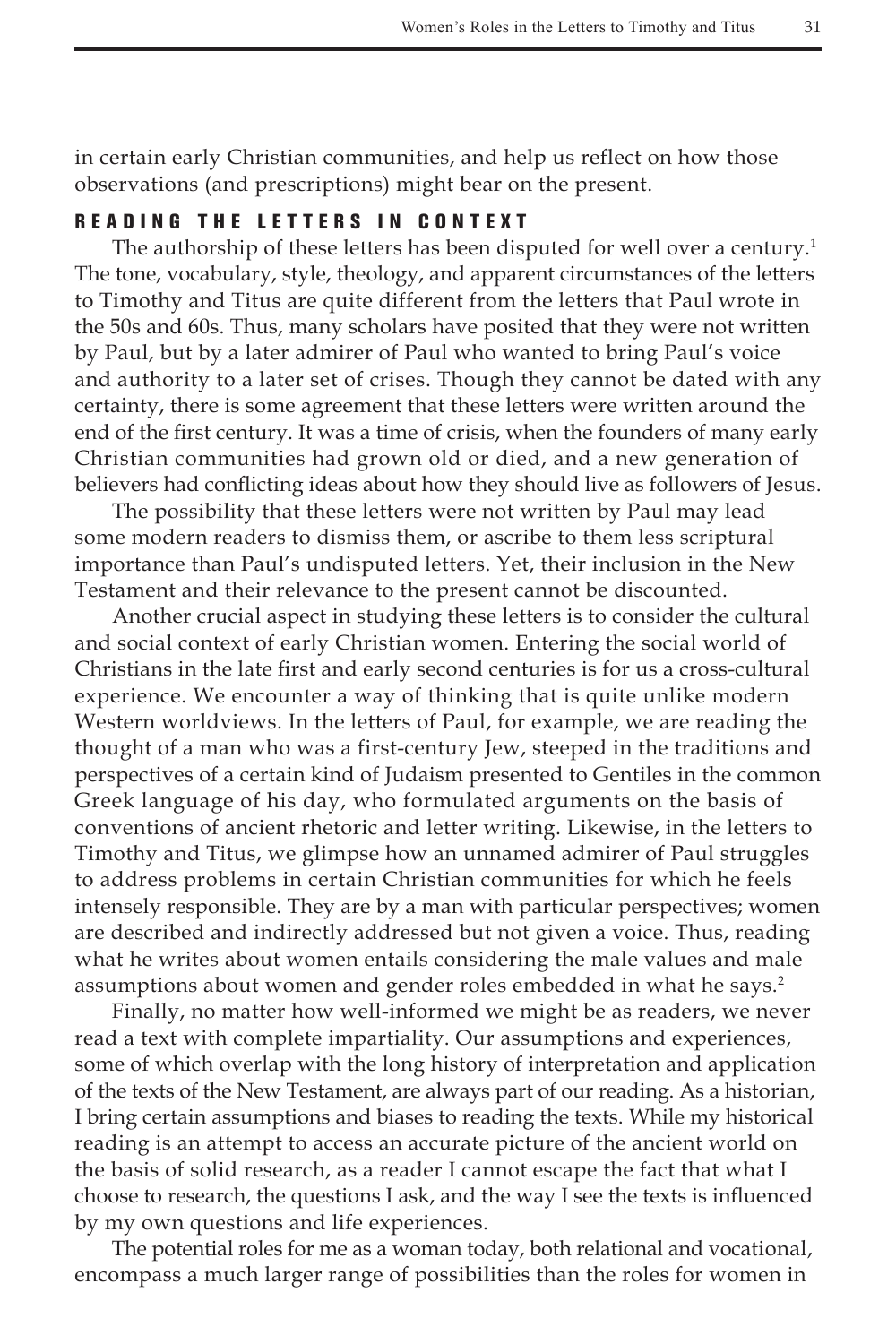in certain early Christian communities, and help us reflect on how those observations (and prescriptions) might bear on the present.

## **READING THE LETTERS IN CONTEXT**

The authorship of these letters has been disputed for well over a century.<sup>1</sup> The tone, vocabulary, style, theology, and apparent circumstances of the letters to Timothy and Titus are quite different from the letters that Paul wrote in the 50s and 60s. Thus, many scholars have posited that they were not written by Paul, but by a later admirer of Paul who wanted to bring Paul's voice and authority to a later set of crises. Though they cannot be dated with any certainty, there is some agreement that these letters were written around the end of the first century. It was a time of crisis, when the founders of many early Christian communities had grown old or died, and a new generation of believers had conflicting ideas about how they should live as followers of Jesus.

The possibility that these letters were not written by Paul may lead some modern readers to dismiss them, or ascribe to them less scriptural importance than Paul's undisputed letters. Yet, their inclusion in the New Testament and their relevance to the present cannot be discounted.

Another crucial aspect in studying these letters is to consider the cultural and social context of early Christian women. Entering the social world of Christians in the late first and early second centuries is for us a cross-cultural experience. We encounter a way of thinking that is quite unlike modern Western worldviews. In the letters of Paul, for example, we are reading the thought of a man who was a first-century Jew, steeped in the traditions and perspectives of a certain kind of Judaism presented to Gentiles in the common Greek language of his day, who formulated arguments on the basis of conventions of ancient rhetoric and letter writing. Likewise, in the letters to Timothy and Titus, we glimpse how an unnamed admirer of Paul struggles to address problems in certain Christian communities for which he feels intensely responsible. They are by a man with particular perspectives; women are described and indirectly addressed but not given a voice. Thus, reading what he writes about women entails considering the male values and male assumptions about women and gender roles embedded in what he says.<sup>2</sup>

Finally, no matter how well-informed we might be as readers, we never read a text with complete impartiality. Our assumptions and experiences, some of which overlap with the long history of interpretation and application of the texts of the New Testament, are always part of our reading. As a historian, I bring certain assumptions and biases to reading the texts. While my historical reading is an attempt to access an accurate picture of the ancient world on the basis of solid research, as a reader I cannot escape the fact that what I choose to research, the questions I ask, and the way I see the texts is influenced by my own questions and life experiences.

The potential roles for me as a woman today, both relational and vocational, encompass a much larger range of possibilities than the roles for women in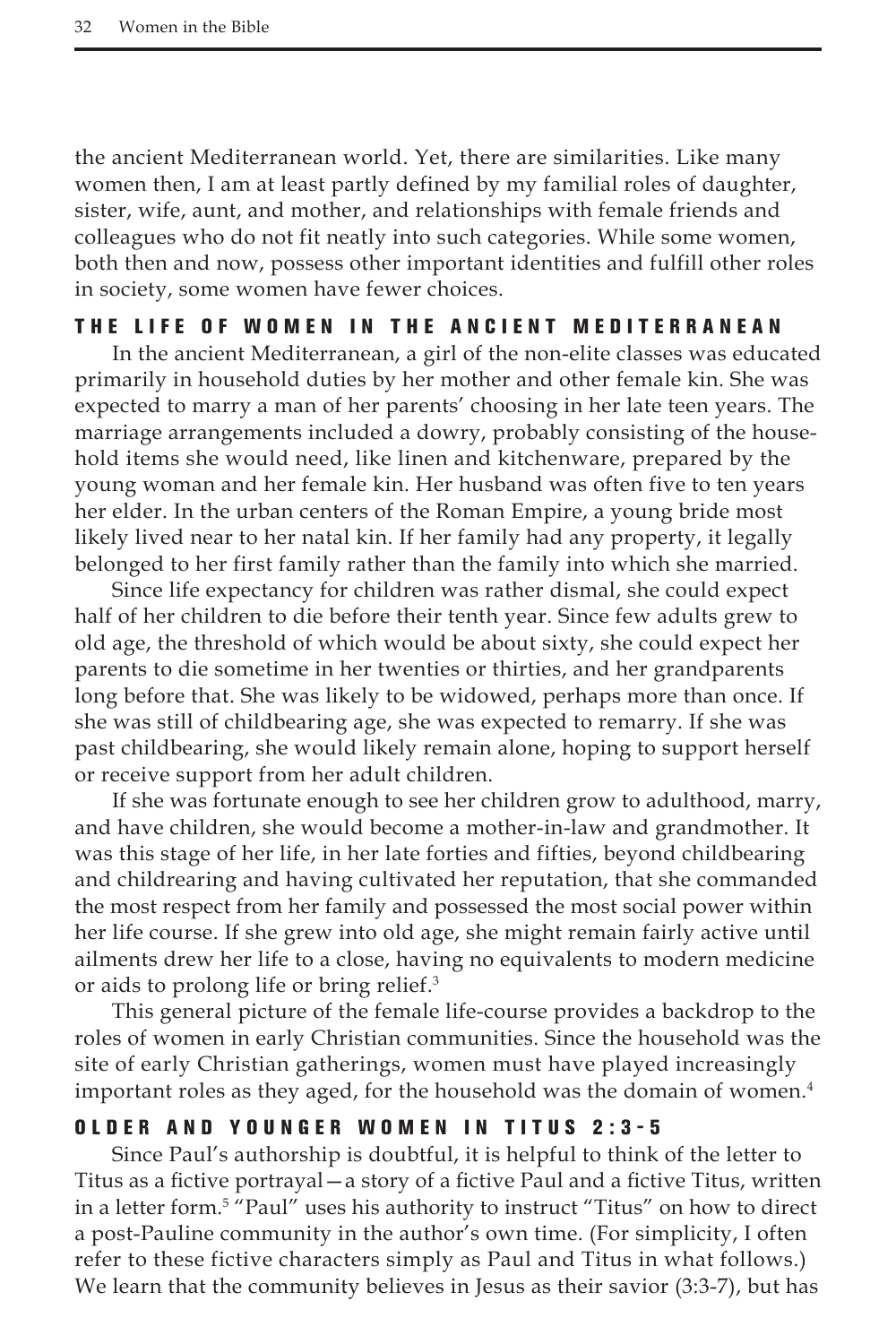the ancient Mediterranean world. Yet, there are similarities. Like many women then, I am at least partly defined by my familial roles of daughter, sister, wife, aunt, and mother, and relationships with female friends and colleagues who do not fit neatly into such categories. While some women, both then and now, possess other important identities and fulfill other roles in society, some women have fewer choices.

#### T he life of women in the ancient M edite rr anean

In the ancient Mediterranean, a girl of the non-elite classes was educated primarily in household duties by her mother and other female kin. She was expected to marry a man of her parents' choosing in her late teen years. The marriage arrangements included a dowry, probably consisting of the household items she would need, like linen and kitchenware, prepared by the young woman and her female kin. Her husband was often five to ten years her elder. In the urban centers of the Roman Empire, a young bride most likely lived near to her natal kin. If her family had any property, it legally belonged to her first family rather than the family into which she married.

Since life expectancy for children was rather dismal, she could expect half of her children to die before their tenth year. Since few adults grew to old age, the threshold of which would be about sixty, she could expect her parents to die sometime in her twenties or thirties, and her grandparents long before that. She was likely to be widowed, perhaps more than once. If she was still of childbearing age, she was expected to remarry. If she was past childbearing, she would likely remain alone, hoping to support herself or receive support from her adult children.

If she was fortunate enough to see her children grow to adulthood, marry, and have children, she would become a mother-in-law and grandmother. It was this stage of her life, in her late forties and fifties, beyond childbearing and childrearing and having cultivated her reputation, that she commanded the most respect from her family and possessed the most social power within her life course. If she grew into old age, she might remain fairly active until ailments drew her life to a close, having no equivalents to modern medicine or aids to prolong life or bring relief.3

This general picture of the female life-course provides a backdrop to the roles of women in early Christian communities. Since the household was the site of early Christian gatherings, women must have played increasingly important roles as they aged, for the household was the domain of women.<sup>4</sup>

#### O lde r and younge r women in T itus 2:3-5

Since Paul's authorship is doubtful, it is helpful to think of the letter to Titus as a fictive portrayal—a story of a fictive Paul and a fictive Titus, written in a letter form.5 "Paul" uses his authority to instruct "Titus" on how to direct a post-Pauline community in the author's own time. (For simplicity, I often refer to these fictive characters simply as Paul and Titus in what follows.) We learn that the community believes in Jesus as their savior (3:3-7), but has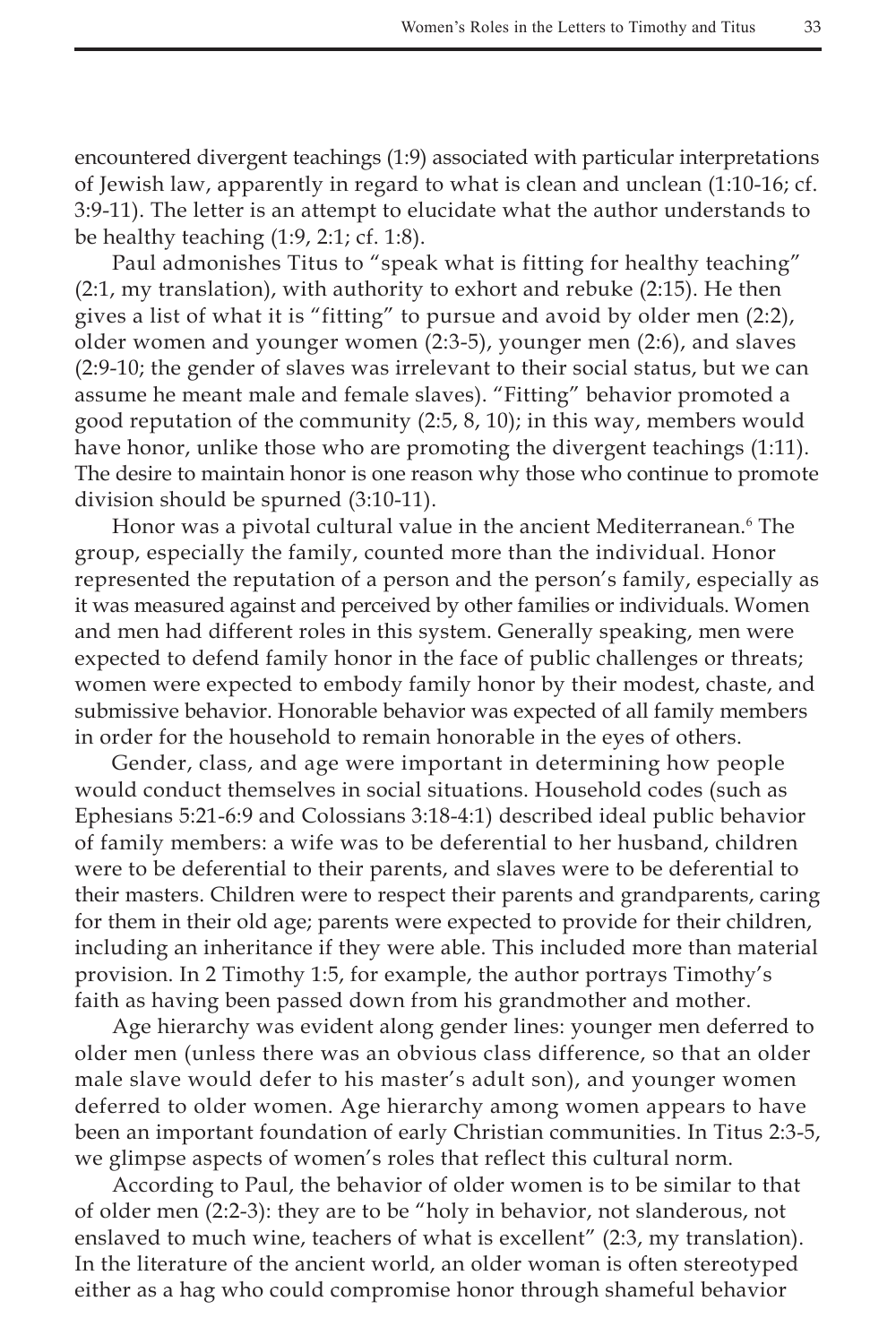encountered divergent teachings (1:9) associated with particular interpretations of Jewish law, apparently in regard to what is clean and unclean (1:10-16; cf. 3:9-11). The letter is an attempt to elucidate what the author understands to be healthy teaching (1:9, 2:1; cf. 1:8).

Paul admonishes Titus to "speak what is fitting for healthy teaching" (2:1, my translation), with authority to exhort and rebuke (2:15). He then gives a list of what it is "fitting" to pursue and avoid by older men (2:2), older women and younger women (2:3-5), younger men (2:6), and slaves (2:9-10; the gender of slaves was irrelevant to their social status, but we can assume he meant male and female slaves). "Fitting" behavior promoted a good reputation of the community (2:5, 8, 10); in this way, members would have honor, unlike those who are promoting the divergent teachings (1:11). The desire to maintain honor is one reason why those who continue to promote division should be spurned (3:10-11).

Honor was a pivotal cultural value in the ancient Mediterranean.<sup>6</sup> The group, especially the family, counted more than the individual. Honor represented the reputation of a person and the person's family, especially as it was measured against and perceived by other families or individuals. Women and men had different roles in this system. Generally speaking, men were expected to defend family honor in the face of public challenges or threats; women were expected to embody family honor by their modest, chaste, and submissive behavior. Honorable behavior was expected of all family members in order for the household to remain honorable in the eyes of others.

Gender, class, and age were important in determining how people would conduct themselves in social situations. Household codes (such as Ephesians 5:21-6:9 and Colossians 3:18-4:1) described ideal public behavior of family members: a wife was to be deferential to her husband, children were to be deferential to their parents, and slaves were to be deferential to their masters. Children were to respect their parents and grandparents, caring for them in their old age; parents were expected to provide for their children, including an inheritance if they were able. This included more than material provision. In 2 Timothy 1:5, for example, the author portrays Timothy's faith as having been passed down from his grandmother and mother.

Age hierarchy was evident along gender lines: younger men deferred to older men (unless there was an obvious class difference, so that an older male slave would defer to his master's adult son), and younger women deferred to older women. Age hierarchy among women appears to have been an important foundation of early Christian communities. In Titus 2:3-5, we glimpse aspects of women's roles that reflect this cultural norm.

According to Paul, the behavior of older women is to be similar to that of older men (2:2-3): they are to be "holy in behavior, not slanderous, not enslaved to much wine, teachers of what is excellent" (2:3, my translation). In the literature of the ancient world, an older woman is often stereotyped either as a hag who could compromise honor through shameful behavior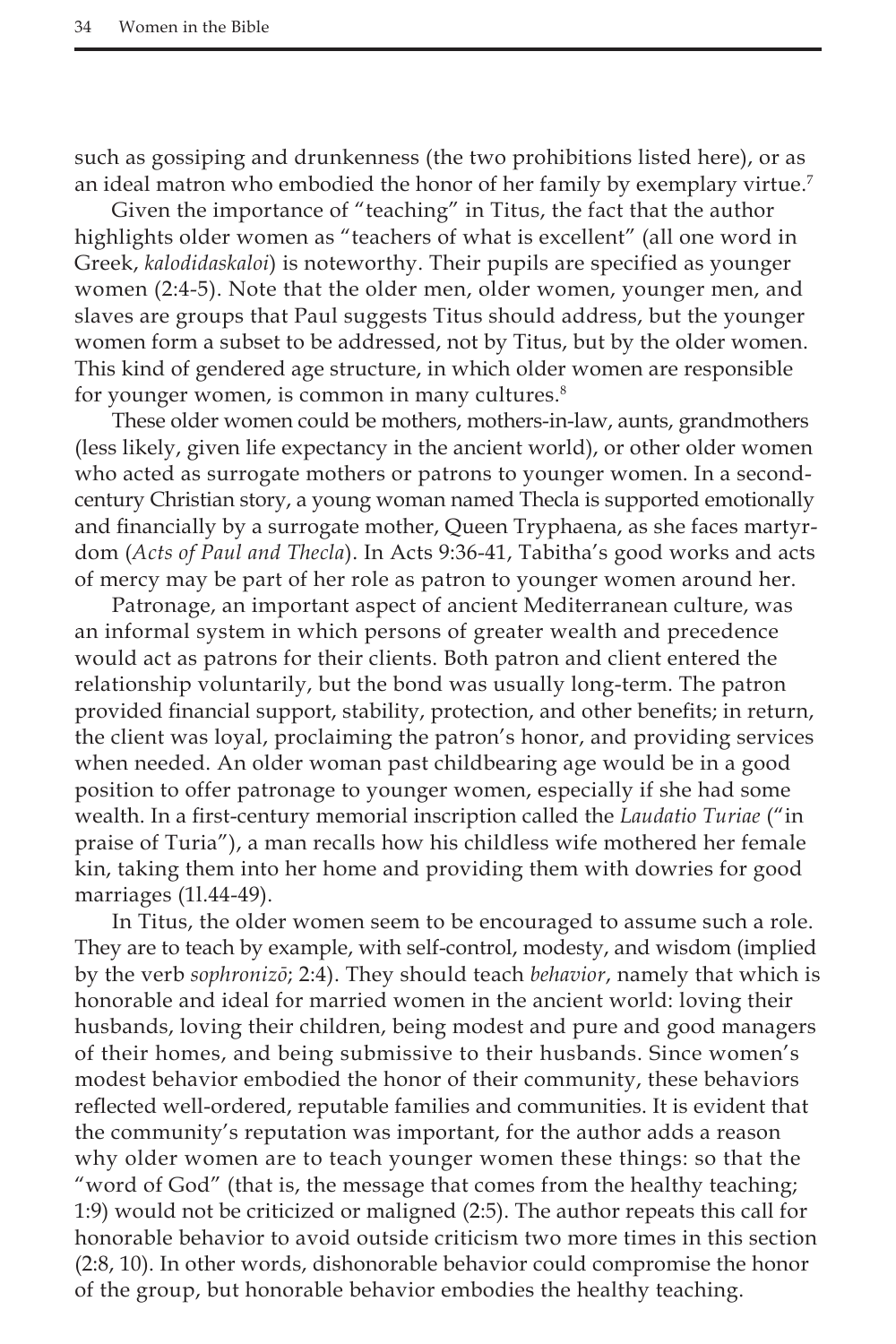such as gossiping and drunkenness (the two prohibitions listed here), or as an ideal matron who embodied the honor of her family by exemplary virtue.7

Given the importance of "teaching" in Titus, the fact that the author highlights older women as "teachers of what is excellent" (all one word in Greek, *kalodidaskaloi*) is noteworthy. Their pupils are specified as younger women (2:4-5). Note that the older men, older women, younger men, and slaves are groups that Paul suggests Titus should address, but the younger women form a subset to be addressed, not by Titus, but by the older women. This kind of gendered age structure, in which older women are responsible for younger women, is common in many cultures. $8$ 

These older women could be mothers, mothers-in-law, aunts, grandmothers (less likely, given life expectancy in the ancient world), or other older women who acted as surrogate mothers or patrons to younger women. In a secondcentury Christian story, a young woman named Thecla is supported emotionally and financially by a surrogate mother, Queen Tryphaena, as she faces martyrdom (*Acts of Paul and Thecla*). In Acts 9:36-41, Tabitha's good works and acts of mercy may be part of her role as patron to younger women around her.

Patronage, an important aspect of ancient Mediterranean culture, was an informal system in which persons of greater wealth and precedence would act as patrons for their clients. Both patron and client entered the relationship voluntarily, but the bond was usually long-term. The patron provided financial support, stability, protection, and other benefits; in return, the client was loyal, proclaiming the patron's honor, and providing services when needed. An older woman past childbearing age would be in a good position to offer patronage to younger women, especially if she had some wealth. In a first-century memorial inscription called the *Laudatio Turiae* ("in praise of Turia"), a man recalls how his childless wife mothered her female kin, taking them into her home and providing them with dowries for good marriages (1l.44-49).

In Titus, the older women seem to be encouraged to assume such a role. They are to teach by example, with self-control, modesty, and wisdom (implied by the verb *sophronizō*; 2:4). They should teach *behavior*, namely that which is honorable and ideal for married women in the ancient world: loving their husbands, loving their children, being modest and pure and good managers of their homes, and being submissive to their husbands. Since women's modest behavior embodied the honor of their community, these behaviors reflected well-ordered, reputable families and communities. It is evident that the community's reputation was important, for the author adds a reason why older women are to teach younger women these things: so that the "word of God" (that is, the message that comes from the healthy teaching; 1:9) would not be criticized or maligned (2:5). The author repeats this call for honorable behavior to avoid outside criticism two more times in this section (2:8, 10). In other words, dishonorable behavior could compromise the honor of the group, but honorable behavior embodies the healthy teaching.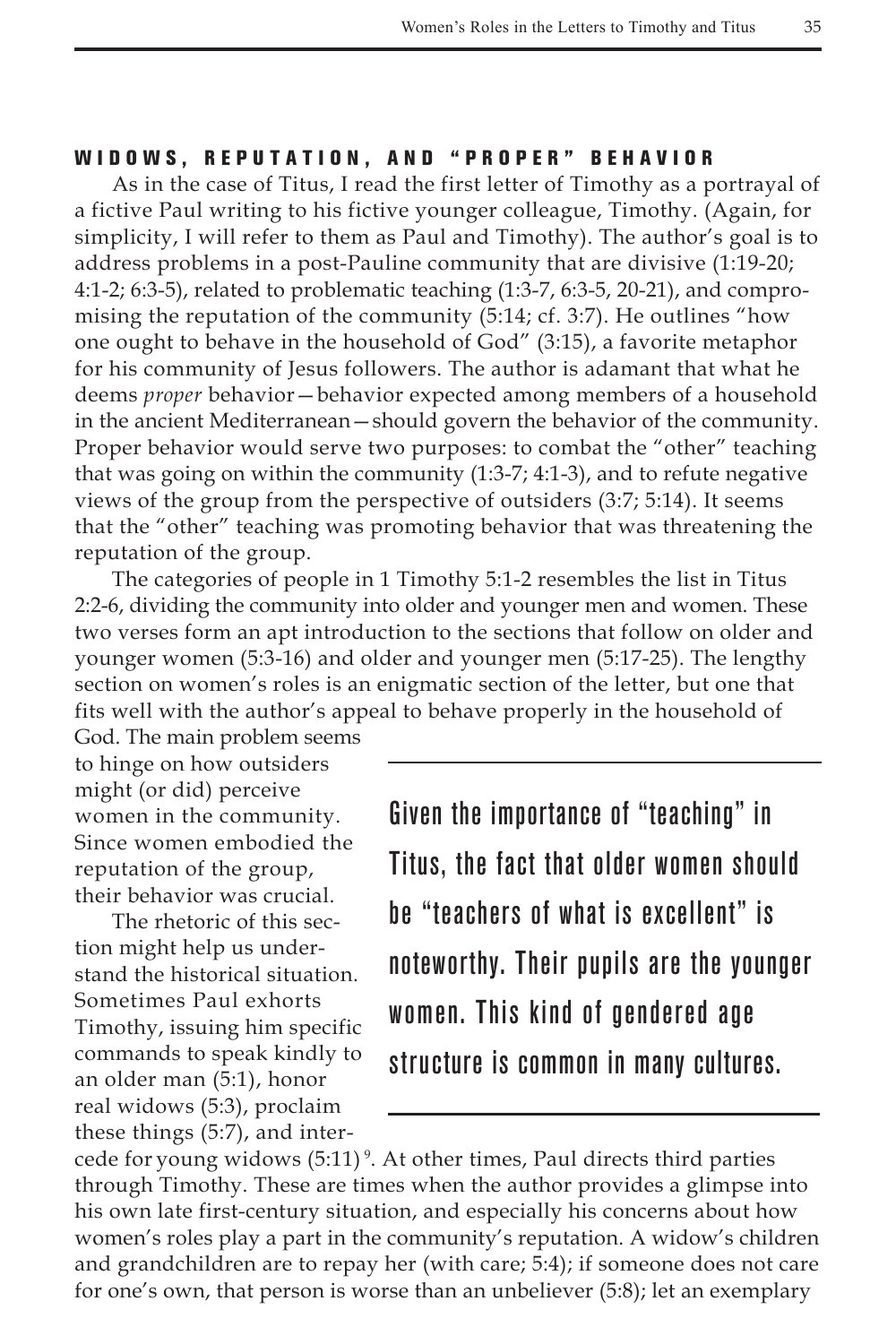#### WIDOWS, REPUTATION, AND "PROPER" BEHAVIOR

As in the case of Titus, I read the first letter of Timothy as a portrayal of a fictive Paul writing to his fictive younger colleague, Timothy. (Again, for simplicity, I will refer to them as Paul and Timothy). The author's goal is to address problems in a post-Pauline community that are divisive (1:19-20; 4:1-2; 6:3-5), related to problematic teaching (1:3-7, 6:3-5, 20-21), and compromising the reputation of the community (5:14; cf. 3:7). He outlines "how one ought to behave in the household of God" (3:15), a favorite metaphor for his community of Jesus followers. The author is adamant that what he deems *proper* behavior—behavior expected among members of a household in the ancient Mediterranean—should govern the behavior of the community. Proper behavior would serve two purposes: to combat the "other" teaching that was going on within the community (1:3-7; 4:1-3), and to refute negative views of the group from the perspective of outsiders (3:7; 5:14). It seems that the "other" teaching was promoting behavior that was threatening the reputation of the group.

The categories of people in 1 Timothy 5:1-2 resembles the list in Titus 2:2-6, dividing the community into older and younger men and women. These two verses form an apt introduction to the sections that follow on older and younger women (5:3-16) and older and younger men (5:17-25). The lengthy section on women's roles is an enigmatic section of the letter, but one that fits well with the author's appeal to behave properly in the household of

God. The main problem seems to hinge on how outsiders might (or did) perceive women in the community. Since women embodied the reputation of the group, their behavior was crucial.

The rhetoric of this section might help us understand the historical situation. Sometimes Paul exhorts Timothy, issuing him specific commands to speak kindly to an older man (5:1), honor real widows (5:3), proclaim these things (5:7), and interGiven the importance of "teaching" in Titus, the fact that older women should be "teachers of what is excellent" is noteworthy. Their pupils are the younger women. This kind of gendered age structure is common in many cultures.

cede for young widows (5:11)<sup>9</sup>. At other times, Paul directs third parties through Timothy. These are times when the author provides a glimpse into his own late first-century situation, and especially his concerns about how women's roles play a part in the community's reputation. A widow's children and grandchildren are to repay her (with care; 5:4); if someone does not care for one's own, that person is worse than an unbeliever (5:8); let an exemplary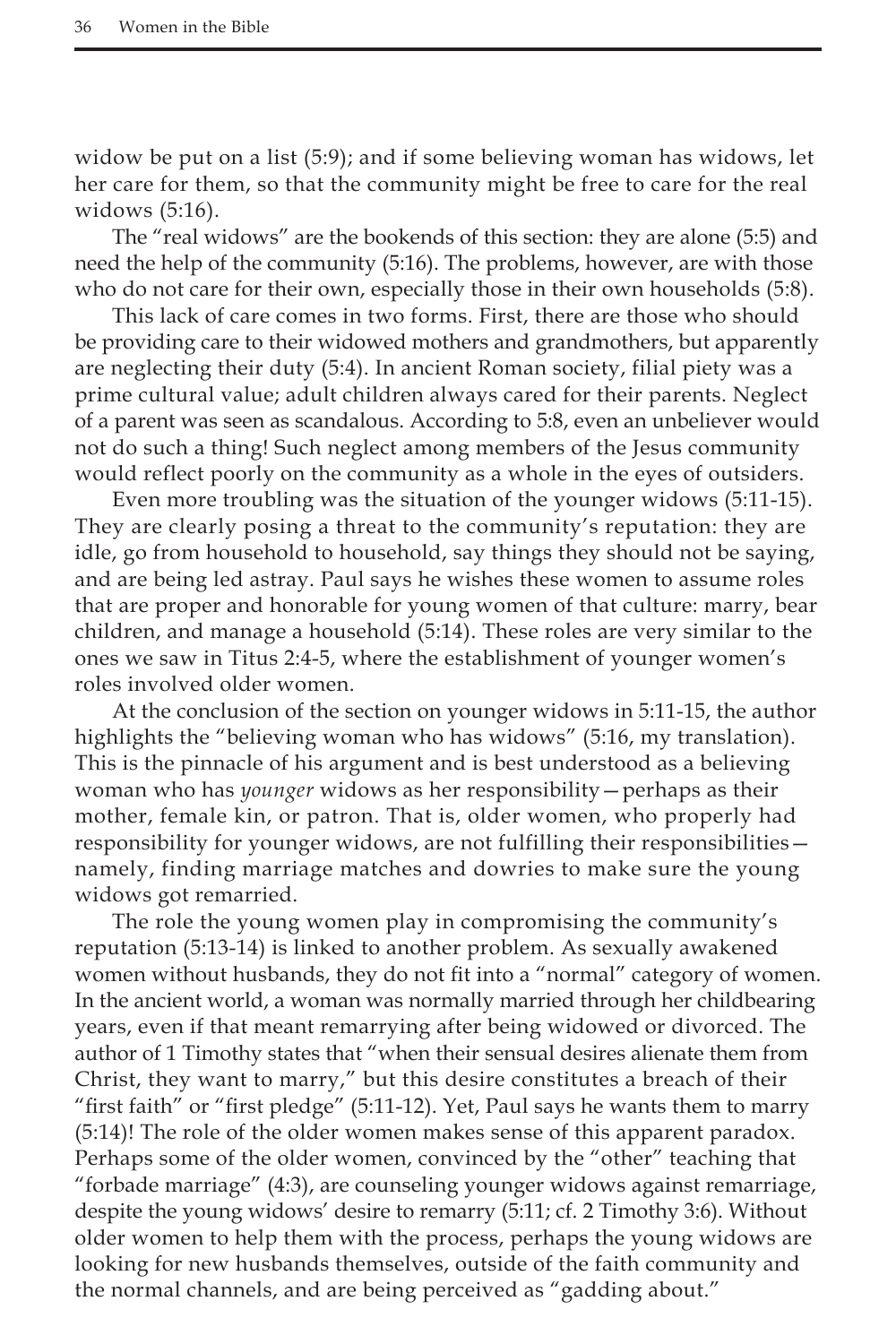widow be put on a list (5:9); and if some believing woman has widows, let her care for them, so that the community might be free to care for the real widows (5:16).

The "real widows" are the bookends of this section: they are alone (5:5) and need the help of the community (5:16). The problems, however, are with those who do not care for their own, especially those in their own households (5:8).

This lack of care comes in two forms. First, there are those who should be providing care to their widowed mothers and grandmothers, but apparently are neglecting their duty (5:4). In ancient Roman society, filial piety was a prime cultural value; adult children always cared for their parents. Neglect of a parent was seen as scandalous. According to 5:8, even an unbeliever would not do such a thing! Such neglect among members of the Jesus community would reflect poorly on the community as a whole in the eyes of outsiders.

Even more troubling was the situation of the younger widows (5:11-15). They are clearly posing a threat to the community's reputation: they are idle, go from household to household, say things they should not be saying, and are being led astray. Paul says he wishes these women to assume roles that are proper and honorable for young women of that culture: marry, bear children, and manage a household (5:14). These roles are very similar to the ones we saw in Titus 2:4-5, where the establishment of younger women's roles involved older women.

At the conclusion of the section on younger widows in 5:11-15, the author highlights the "believing woman who has widows" (5:16, my translation). This is the pinnacle of his argument and is best understood as a believing woman who has *younger* widows as her responsibility—perhaps as their mother, female kin, or patron. That is, older women, who properly had responsibility for younger widows, are not fulfilling their responsibilities namely, finding marriage matches and dowries to make sure the young widows got remarried.

The role the young women play in compromising the community's reputation (5:13-14) is linked to another problem. As sexually awakened women without husbands, they do not fit into a "normal" category of women. In the ancient world, a woman was normally married through her childbearing years, even if that meant remarrying after being widowed or divorced. The author of 1 Timothy states that "when their sensual desires alienate them from Christ, they want to marry," but this desire constitutes a breach of their "first faith" or "first pledge" (5:11-12). Yet, Paul says he wants them to marry (5:14)! The role of the older women makes sense of this apparent paradox. Perhaps some of the older women, convinced by the "other" teaching that "forbade marriage" (4:3), are counseling younger widows against remarriage, despite the young widows' desire to remarry (5:11; cf. 2 Timothy 3:6). Without older women to help them with the process, perhaps the young widows are looking for new husbands themselves, outside of the faith community and the normal channels, and are being perceived as "gadding about."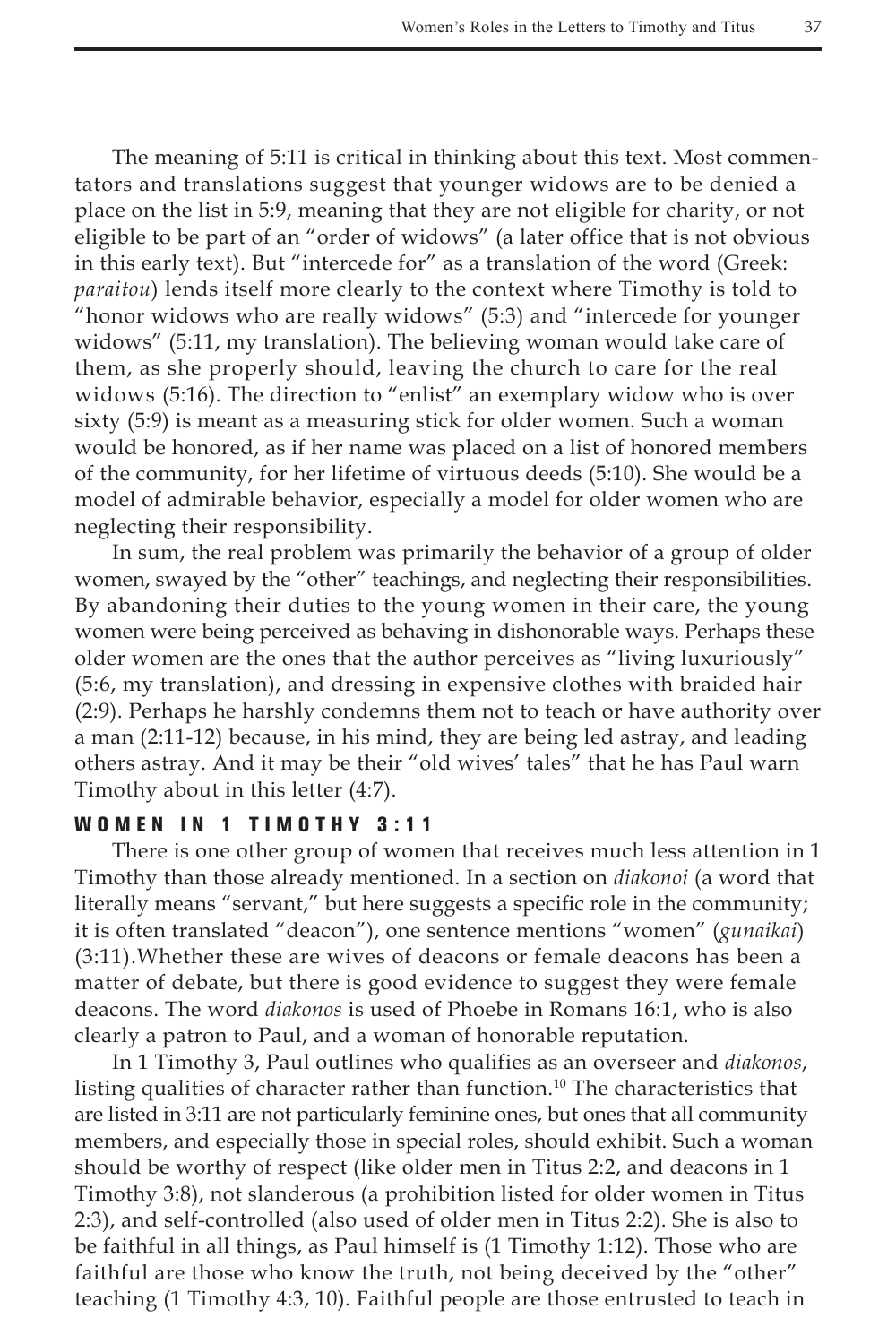The meaning of 5:11 is critical in thinking about this text. Most commentators and translations suggest that younger widows are to be denied a place on the list in 5:9, meaning that they are not eligible for charity, or not eligible to be part of an "order of widows" (a later office that is not obvious in this early text). But "intercede for" as a translation of the word (Greek: *paraitou*) lends itself more clearly to the context where Timothy is told to "honor widows who are really widows" (5:3) and "intercede for younger widows" (5:11, my translation). The believing woman would take care of them, as she properly should, leaving the church to care for the real widows (5:16). The direction to "enlist" an exemplary widow who is over sixty (5:9) is meant as a measuring stick for older women. Such a woman would be honored, as if her name was placed on a list of honored members of the community, for her lifetime of virtuous deeds (5:10). She would be a model of admirable behavior, especially a model for older women who are neglecting their responsibility.

In sum, the real problem was primarily the behavior of a group of older women, swayed by the "other" teachings, and neglecting their responsibilities. By abandoning their duties to the young women in their care, the young women were being perceived as behaving in dishonorable ways. Perhaps these older women are the ones that the author perceives as "living luxuriously" (5:6, my translation), and dressing in expensive clothes with braided hair (2:9). Perhaps he harshly condemns them not to teach or have authority over a man (2:11-12) because, in his mind, they are being led astray, and leading others astray. And it may be their "old wives' tales" that he has Paul warn Timothy about in this letter (4:7).

#### WOMEN IN 1 TIMOTHY 3:11

There is one other group of women that receives much less attention in 1 Timothy than those already mentioned. In a section on *diakonoi* (a word that literally means "servant," but here suggests a specific role in the community; it is often translated "deacon"), one sentence mentions "women" (*gunaikai*) (3:11).Whether these are wives of deacons or female deacons has been a matter of debate, but there is good evidence to suggest they were female deacons. The word *diakonos* is used of Phoebe in Romans 16:1, who is also clearly a patron to Paul, and a woman of honorable reputation.

In 1 Timothy 3, Paul outlines who qualifies as an overseer and *diakonos*, listing qualities of character rather than function.<sup>10</sup> The characteristics that are listed in 3:11 are not particularly feminine ones, but ones that all community members, and especially those in special roles, should exhibit. Such a woman should be worthy of respect (like older men in Titus 2:2, and deacons in 1 Timothy 3:8), not slanderous (a prohibition listed for older women in Titus 2:3), and self-controlled (also used of older men in Titus 2:2). She is also to be faithful in all things, as Paul himself is (1 Timothy 1:12). Those who are faithful are those who know the truth, not being deceived by the "other" teaching (1 Timothy 4:3, 10). Faithful people are those entrusted to teach in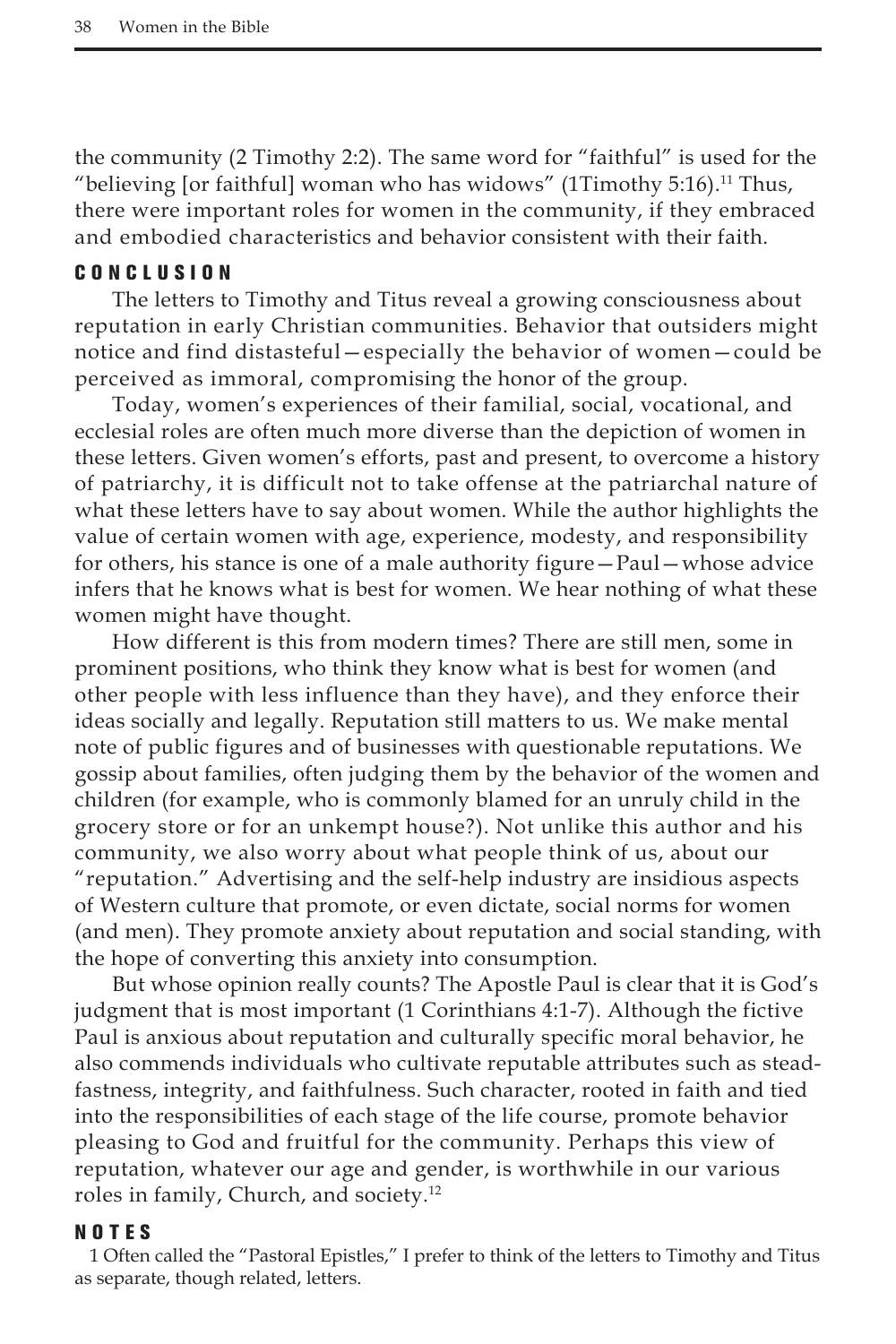the community (2 Timothy 2:2). The same word for "faithful" is used for the "believing [or faithful] woman who has widows" (1Timothy 5:16).<sup>11</sup> Thus, there were important roles for women in the community, if they embraced and embodied characteristics and behavior consistent with their faith.

### C onclusion

The letters to Timothy and Titus reveal a growing consciousness about reputation in early Christian communities. Behavior that outsiders might notice and find distasteful—especially the behavior of women—could be perceived as immoral, compromising the honor of the group.

Today, women's experiences of their familial, social, vocational, and ecclesial roles are often much more diverse than the depiction of women in these letters. Given women's efforts, past and present, to overcome a history of patriarchy, it is difficult not to take offense at the patriarchal nature of what these letters have to say about women. While the author highlights the value of certain women with age, experience, modesty, and responsibility for others, his stance is one of a male authority figure—Paul—whose advice infers that he knows what is best for women. We hear nothing of what these women might have thought.

How different is this from modern times? There are still men, some in prominent positions, who think they know what is best for women (and other people with less influence than they have), and they enforce their ideas socially and legally. Reputation still matters to us. We make mental note of public figures and of businesses with questionable reputations. We gossip about families, often judging them by the behavior of the women and children (for example, who is commonly blamed for an unruly child in the grocery store or for an unkempt house?). Not unlike this author and his community, we also worry about what people think of us, about our "reputation." Advertising and the self-help industry are insidious aspects of Western culture that promote, or even dictate, social norms for women (and men). They promote anxiety about reputation and social standing, with the hope of converting this anxiety into consumption.

But whose opinion really counts? The Apostle Paul is clear that it is God's judgment that is most important (1 Corinthians 4:1-7). Although the fictive Paul is anxious about reputation and culturally specific moral behavior, he also commends individuals who cultivate reputable attributes such as steadfastness, integrity, and faithfulness. Such character, rooted in faith and tied into the responsibilities of each stage of the life course, promote behavior pleasing to God and fruitful for the community. Perhaps this view of reputation, whatever our age and gender, is worthwhile in our various roles in family, Church, and society.12

#### NOTES

1 Often called the "Pastoral Epistles," I prefer to think of the letters to Timothy and Titus as separate, though related, letters.